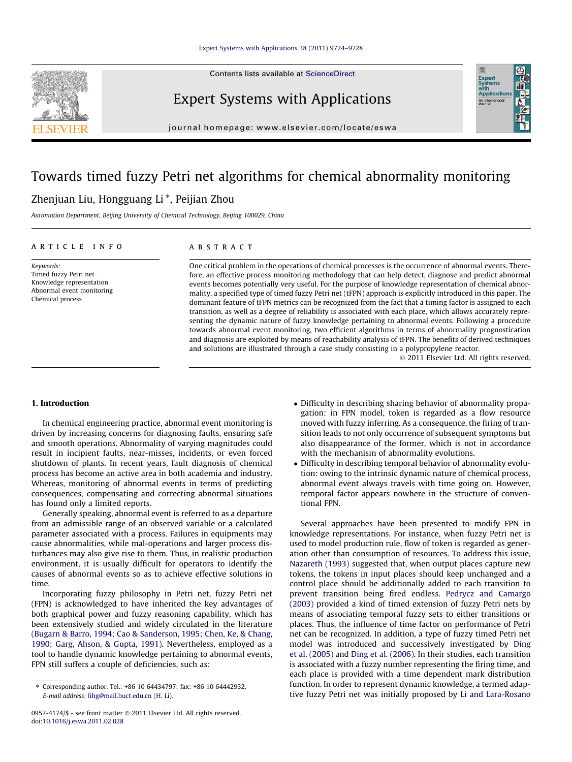Contents lists available at [ScienceDirect](http://www.sciencedirect.com/science/journal/09574174)



Expert Systems with Applications



journal homepage: [www.elsevier.com/locate/eswa](http://www.elsevier.com/locate/eswa)

## Towards timed fuzzy Petri net algorithms for chemical abnormality monitoring

### Zhenjuan Liu, Hongguang Li \*, Peijian Zhou

Automation Department, Beijing University of Chemical Technology, Beijing 100029, China

#### article info

Keywords: Timed fuzzy Petri net Knowledge representation Abnormal event monitoring Chemical process

### **ABSTRACT**

One critical problem in the operations of chemical processes is the occurrence of abnormal events. Therefore, an effective process monitoring methodology that can help detect, diagnose and predict abnormal events becomes potentially very useful. For the purpose of knowledge representation of chemical abnormality, a specified type of timed fuzzy Petri net (tFPN) approach is explicitly introduced in this paper. The dominant feature of tFPN metrics can be recognized from the fact that a timing factor is assigned to each transition, as well as a degree of reliability is associated with each place, which allows accurately representing the dynamic nature of fuzzy knowledge pertaining to abnormal events. Following a procedure towards abnormal event monitoring, two efficient algorithms in terms of abnormality prognostication and diagnosis are exploited by means of reachability analysis of tFPN. The benefits of derived techniques and solutions are illustrated through a case study consisting in a polypropylene reactor.

- 2011 Elsevier Ltd. All rights reserved.

#### 1. Introduction

In chemical engineering practice, abnormal event monitoring is driven by increasing concerns for diagnosing faults, ensuring safe and smooth operations. Abnormality of varying magnitudes could result in incipient faults, near-misses, incidents, or even forced shutdown of plants. In recent years, fault diagnosis of chemical process has become an active area in both academia and industry. Whereas, monitoring of abnormal events in terms of predicting consequences, compensating and correcting abnormal situations has found only a limited reports.

Generally speaking, abnormal event is referred to as a departure from an admissible range of an observed variable or a calculated parameter associated with a process. Failures in equipments may cause abnormalities, while mal-operations and larger process disturbances may also give rise to them. Thus, in realistic production environment, it is usually difficult for operators to identify the causes of abnormal events so as to achieve effective solutions in time.

Incorporating fuzzy philosophy in Petri net, fuzzy Petri net (FPN) is acknowledged to have inherited the key advantages of both graphical power and fuzzy reasoning capability, which has been extensively studied and widely circulated in the literature ([Bugarn & Barro, 1994; Cao & Sanderson, 1995; Chen, Ke, & Chang,](#page--1-0) [1990; Garg, Ahson, & Gupta, 1991\)](#page--1-0). Nevertheless, employed as a tool to handle dynamic knowledge pertaining to abnormal events, FPN still suffers a couple of deficiencies, such as:

- Difficulty in describing sharing behavior of abnormality propagation: in FPN model, token is regarded as a flow resource moved with fuzzy inferring. As a consequence, the firing of transition leads to not only occurrence of subsequent symptoms but also disappearance of the former, which is not in accordance with the mechanism of abnormality evolutions.
- Difficulty in describing temporal behavior of abnormality evolution: owing to the intrinsic dynamic nature of chemical process, abnormal event always travels with time going on. However, temporal factor appears nowhere in the structure of conventional FPN.

Several approaches have been presented to modify FPN in knowledge representations. For instance, when fuzzy Petri net is used to model production rule, flow of token is regarded as generation other than consumption of resources. To address this issue, [Nazareth \(1993\)](#page--1-0) suggested that, when output places capture new tokens, the tokens in input places should keep unchanged and a control place should be additionally added to each transition to prevent transition being fired endless. [Pedrycz and Camargo](#page--1-0) [\(2003\)](#page--1-0) provided a kind of timed extension of fuzzy Petri nets by means of associating temporal fuzzy sets to either transitions or places. Thus, the influence of time factor on performance of Petri net can be recognized. In addition, a type of fuzzy timed Petri net model was introduced and successively investigated by [Ding](#page--1-0) [et al. \(2005\)](#page--1-0) and [Ding et al. \(2006\)](#page--1-0). In their studies, each transition is associated with a fuzzy number representing the firing time, and each place is provided with a time dependent mark distribution function. In order to represent dynamic knowledge, a termed adaptive fuzzy Petri net was initially proposed by [Li and Lara-Rosano](#page--1-0)

<sup>⇑</sup> Corresponding author. Tel.: +86 10 64434797; fax: +86 10 64442932. E-mail address: [lihg@mail.buct.edu.cn](mailto:lihg@mail.buct.edu.cn) (H. Li).

<sup>0957-4174/\$ -</sup> see front matter © 2011 Elsevier Ltd. All rights reserved. doi:[10.1016/j.eswa.2011.02.028](http://dx.doi.org/10.1016/j.eswa.2011.02.028)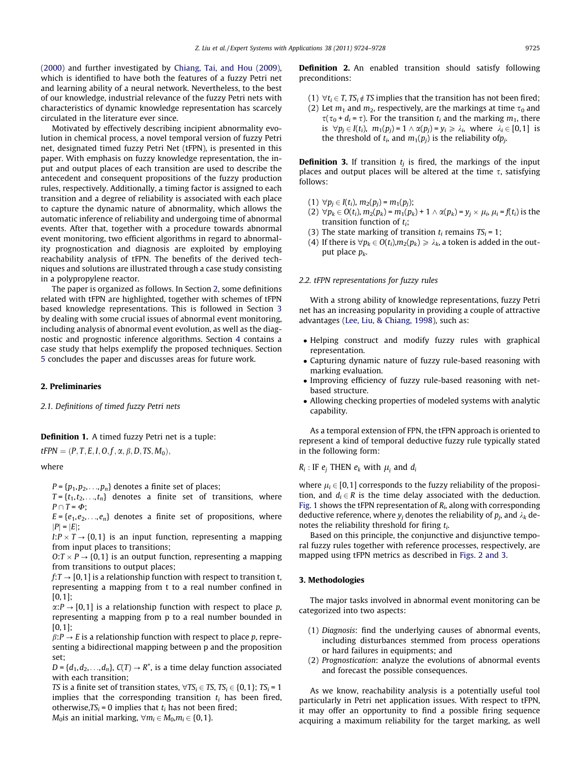[\(2000\)](#page--1-0) and further investigated by [Chiang, Tai, and Hou \(2009\),](#page--1-0) which is identified to have both the features of a fuzzy Petri net and learning ability of a neural network. Nevertheless, to the best of our knowledge, industrial relevance of the fuzzy Petri nets with characteristics of dynamic knowledge representation has scarcely circulated in the literature ever since.

Motivated by effectively describing incipient abnormality evolution in chemical process, a novel temporal version of fuzzy Petri net, designated timed fuzzy Petri Net (tFPN), is presented in this paper. With emphasis on fuzzy knowledge representation, the input and output places of each transition are used to describe the antecedent and consequent propositions of the fuzzy production rules, respectively. Additionally, a timing factor is assigned to each transition and a degree of reliability is associated with each place to capture the dynamic nature of abnormality, which allows the automatic inference of reliability and undergoing time of abnormal events. After that, together with a procedure towards abnormal event monitoring, two efficient algorithms in regard to abnormality prognostication and diagnosis are exploited by employing reachability analysis of tFPN. The benefits of the derived techniques and solutions are illustrated through a case study consisting in a polypropylene reactor.

The paper is organized as follows. In Section 2, some definitions related with tFPN are highlighted, together with schemes of tFPN based knowledge representations. This is followed in Section 3 by dealing with some crucial issues of abnormal event monitoring, including analysis of abnormal event evolution, as well as the diagnostic and prognostic inference algorithms. Section [4](#page--1-0) contains a case study that helps exemplify the proposed techniques. Section [5](#page--1-0) concludes the paper and discusses areas for future work.

#### 2. Preliminaries

2.1. Definitions of timed fuzzy Petri nets

Definition 1. A timed fuzzy Petri net is a tuple:

 $tFPN = (P, T, E, I, O, f, \alpha, \beta, D, TS, M_0),$ 

where

 $P = \{p_1, p_2, \ldots, p_n\}$  denotes a finite set of places;

 $T = \{t_1, t_2, \ldots, t_n\}$  denotes a finite set of transitions, where  $P \cap T = \Phi$ ;

 $E = \{e_1, e_2, \ldots, e_n\}$  denotes a finite set of propositions, where  $|P| = |E|$ ;

 $I: P \times T \rightarrow \{0,1\}$  is an input function, representing a mapping from input places to transitions;

 $O:T \times P \rightarrow \{0,1\}$  is an output function, representing a mapping from transitions to output places;

 $f: T \rightarrow [0,1]$  is a relationship function with respect to transition t, representing a mapping from t to a real number confined in  $[0,1]$ ;

 $\alpha:P \rightarrow [0,1]$  is a relationship function with respect to place p, representing a mapping from p to a real number bounded in [0,1];

 $\beta$ : $P \rightarrow E$  is a relationship function with respect to place p, representing a bidirectional mapping between p and the proposition set;

 $D = \{d_1, d_2, \ldots, d_n\}, C(T) \rightarrow R^+$ , is a time delay function associated with each transition;

TS is a finite set of transition states,  $\forall TS_i \in TS$ ,  $TS_i \in \{0,1\}$ ; TS<sub>i</sub> = 1 implies that the corresponding transition  $t_i$  has been fired, otherwise, $TS_i = 0$  implies that  $t_i$  has not been fired;

 $M_0$ is an initial marking,  $\forall m_i \in M_0, m_i \in \{0, 1\}.$ 

**Definition 2.** An enabled transition should satisfy following preconditions:

- (1)  $\forall t_i \in T$ ,  $TS_i \notin TS$  implies that the transition has not been fired;
- (2) Let  $m_1$  and  $m_2$ , respectively, are the markings at time  $\tau_0$  and  $\tau(\tau_0 + d_i = \tau)$ . For the transition  $t_i$  and the marking  $m_1$ , there is  $\forall p_j \in I(t_i)$ ,  $m_1(p_j) = 1 \wedge \alpha(p_j) = y_i \ge \lambda_i$ , where  $\lambda_i \in [0,1]$  is the threshold of  $t_i$ , and  $m_1(p_i)$  is the reliability of  $p_i$ .

**Definition 3.** If transition  $t_i$  is fired, the markings of the input places and output places will be altered at the time  $\tau$ , satisfying follows:

- (1)  $\forall p_i \in I(t_i), m_2(p_i) = m_1(p_i);$
- (2)  $\forall p_k \in O(t_i)$ ,  $m_2(p_k) = m_1(p_k) + 1 \wedge \alpha(p_k) = v_i \times \mu_i$ ,  $\mu_i = f(t_i)$  is the transition function of  $t_i$ ;
- (3) The state marking of transition  $t_i$  remains  $TS_i = 1$ ;
- (4) If there is  $\forall p_k \in O(t_i), m_2(p_k) \ge \lambda_k$ , a token is added in the output place  $p_k$ .

#### 2.2. tFPN representations for fuzzy rules

With a strong ability of knowledge representations, fuzzy Petri net has an increasing popularity in providing a couple of attractive advantages ([Lee, Liu, & Chiang, 1998\)](#page--1-0), such as:

- Helping construct and modify fuzzy rules with graphical representation.
- Capturing dynamic nature of fuzzy rule-based reasoning with marking evaluation.
- Improving efficiency of fuzzy rule-based reasoning with netbased structure.
- Allowing checking properties of modeled systems with analytic capability.

As a temporal extension of FPN, the tFPN approach is oriented to represent a kind of temporal deductive fuzzy rule typically stated in the following form:

#### $R_i$ : IF  $e_i$  THEN  $e_k$  with  $\mu_i$  and  $d_i$

where  $\mu_i \in [0, 1]$  corresponds to the fuzzy reliability of the proposition, and  $d_i \in R$  is the time delay associated with the deduction. [Fig. 1](#page--1-0) shows the tFPN representation of  $R_i$ , along with corresponding deductive reference, where  $y_i$  denotes the reliability of  $p_i$ , and  $\lambda_k$  denotes the reliability threshold for firing  $t_i$ .

Based on this principle, the conjunctive and disjunctive temporal fuzzy rules together with reference processes, respectively, are mapped using tFPN metrics as described in [Figs. 2 and 3](#page--1-0).

#### 3. Methodologies

The major tasks involved in abnormal event monitoring can be categorized into two aspects:

- (1) Diagnosis: find the underlying causes of abnormal events, including disturbances stemmed from process operations or hard failures in equipments; and
- (2) Prognostication: analyze the evolutions of abnormal events and forecast the possible consequences.

As we know, reachability analysis is a potentially useful tool particularly in Petri net application issues. With respect to tFPN, it may offer an opportunity to find a possible firing sequence acquiring a maximum reliability for the target marking, as well